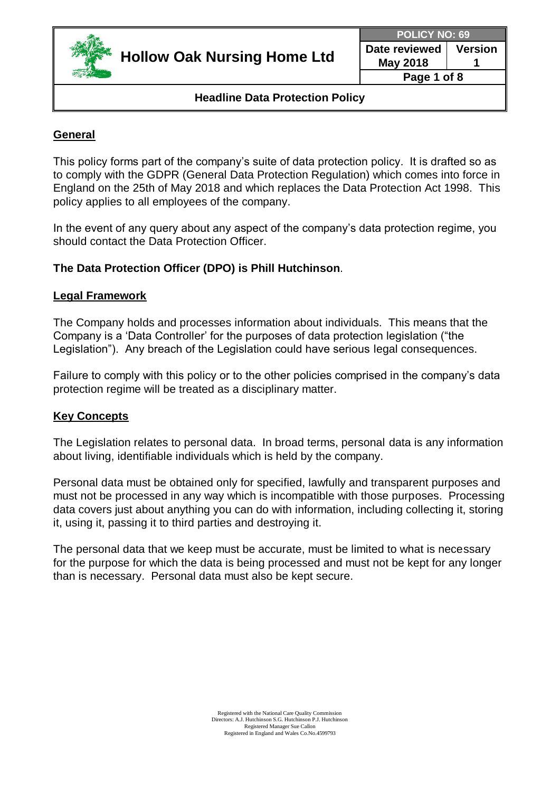

**POLICY NO: 69**

**Date reviewed May 2018 Version 1**

**Page 1 of 8**

## **Headline Data Protection Policy**

# **General**

This policy forms part of the company's suite of data protection policy. It is drafted so as to comply with the GDPR (General Data Protection Regulation) which comes into force in England on the 25th of May 2018 and which replaces the Data Protection Act 1998. This policy applies to all employees of the company.

In the event of any query about any aspect of the company's data protection regime, you should contact the Data Protection Officer.

# **The Data Protection Officer (DPO) is Phill Hutchinson**.

#### **Legal Framework**

The Company holds and processes information about individuals. This means that the Company is a 'Data Controller' for the purposes of data protection legislation ("the Legislation"). Any breach of the Legislation could have serious legal consequences.

Failure to comply with this policy or to the other policies comprised in the company's data protection regime will be treated as a disciplinary matter.

#### **Key Concepts**

The Legislation relates to personal data. In broad terms, personal data is any information about living, identifiable individuals which is held by the company.

Personal data must be obtained only for specified, lawfully and transparent purposes and must not be processed in any way which is incompatible with those purposes. Processing data covers just about anything you can do with information, including collecting it, storing it, using it, passing it to third parties and destroying it.

The personal data that we keep must be accurate, must be limited to what is necessary for the purpose for which the data is being processed and must not be kept for any longer than is necessary. Personal data must also be kept secure.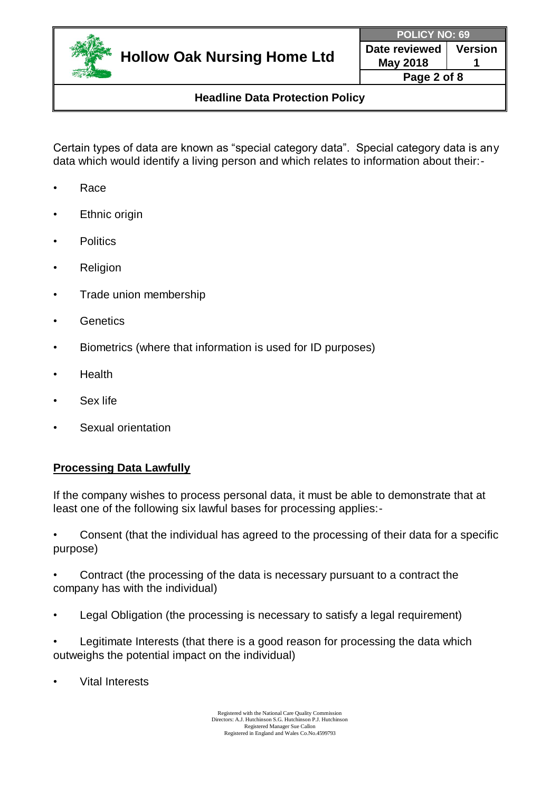

**Date reviewed May 2018 Version 1 Page 2 of 8**

**Headline Data Protection Policy**

Certain types of data are known as "special category data". Special category data is any data which would identify a living person and which relates to information about their:-

- Race
- **Ethnic origin**
- Politics
- **Religion**
- Trade union membership
- **Genetics**
- Biometrics (where that information is used for ID purposes)
- Health
- Sex life
- Sexual orientation

## **Processing Data Lawfully**

If the company wishes to process personal data, it must be able to demonstrate that at least one of the following six lawful bases for processing applies:-

• Consent (that the individual has agreed to the processing of their data for a specific purpose)

• Contract (the processing of the data is necessary pursuant to a contract the company has with the individual)

- Legal Obligation (the processing is necessary to satisfy a legal requirement)
- Legitimate Interests (that there is a good reason for processing the data which outweighs the potential impact on the individual)
- **Vital Interests**

Registered with the National Care Quality Commission Directors: A.J. Hutchinson S.G. Hutchinson P.J. Hutchinson Registered Manager Sue Callon Registered in England and Wales Co.No.4599793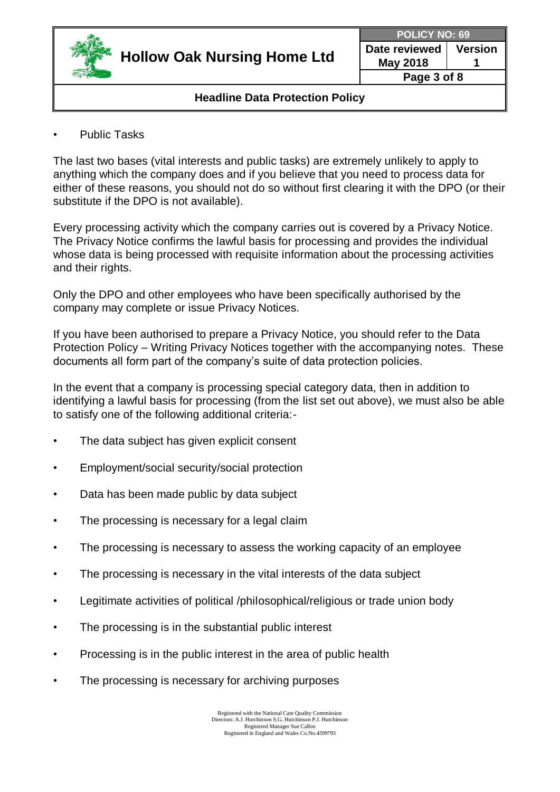

**POLICY NO: 69**

**Date reviewed May 2018 Version 1**

**Page 3 of 8**

## **Headline Data Protection Policy**

Public Tasks

The last two bases (vital interests and public tasks) are extremely unlikely to apply to anything which the company does and if you believe that you need to process data for either of these reasons, you should not do so without first clearing it with the DPO (or their substitute if the DPO is not available).

Every processing activity which the company carries out is covered by a Privacy Notice. The Privacy Notice confirms the lawful basis for processing and provides the individual whose data is being processed with requisite information about the processing activities and their rights.

Only the DPO and other employees who have been specifically authorised by the company may complete or issue Privacy Notices.

If you have been authorised to prepare a Privacy Notice, you should refer to the Data Protection Policy – Writing Privacy Notices together with the accompanying notes. These documents all form part of the company's suite of data protection policies.

In the event that a company is processing special category data, then in addition to identifying a lawful basis for processing (from the list set out above), we must also be able to satisfy one of the following additional criteria:-

- The data subject has given explicit consent
- Employment/social security/social protection
- Data has been made public by data subject
- The processing is necessary for a legal claim
- The processing is necessary to assess the working capacity of an employee
- The processing is necessary in the vital interests of the data subject
- Legitimate activities of political /philosophical/religious or trade union body
- The processing is in the substantial public interest
- Processing is in the public interest in the area of public health
- The processing is necessary for archiving purposes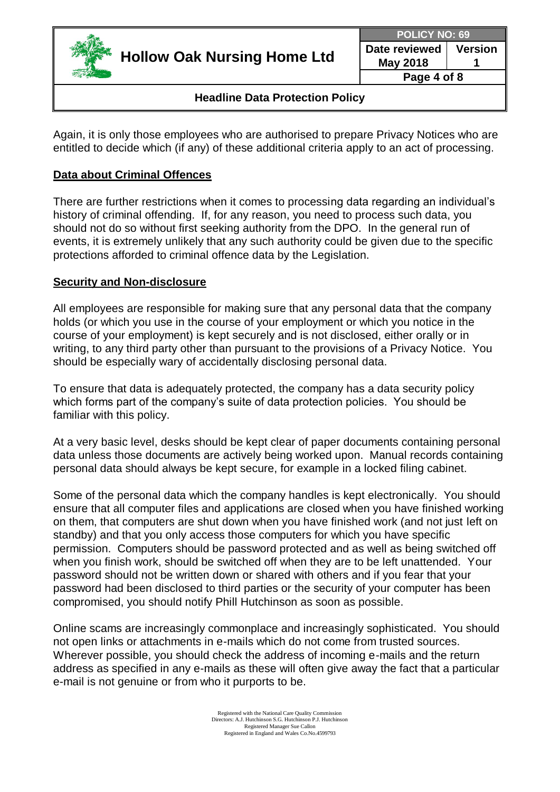

**Date reviewed May 2018 Version 1 Page 4 of 8**

## **Headline Data Protection Policy**

Again, it is only those employees who are authorised to prepare Privacy Notices who are entitled to decide which (if any) of these additional criteria apply to an act of processing.

## **Data about Criminal Offences**

There are further restrictions when it comes to processing data regarding an individual's history of criminal offending. If, for any reason, you need to process such data, you should not do so without first seeking authority from the DPO. In the general run of events, it is extremely unlikely that any such authority could be given due to the specific protections afforded to criminal offence data by the Legislation.

## **Security and Non-disclosure**

All employees are responsible for making sure that any personal data that the company holds (or which you use in the course of your employment or which you notice in the course of your employment) is kept securely and is not disclosed, either orally or in writing, to any third party other than pursuant to the provisions of a Privacy Notice. You should be especially wary of accidentally disclosing personal data.

To ensure that data is adequately protected, the company has a data security policy which forms part of the company's suite of data protection policies. You should be familiar with this policy.

At a very basic level, desks should be kept clear of paper documents containing personal data unless those documents are actively being worked upon. Manual records containing personal data should always be kept secure, for example in a locked filing cabinet.

Some of the personal data which the company handles is kept electronically. You should ensure that all computer files and applications are closed when you have finished working on them, that computers are shut down when you have finished work (and not just left on standby) and that you only access those computers for which you have specific permission. Computers should be password protected and as well as being switched off when you finish work, should be switched off when they are to be left unattended. Your password should not be written down or shared with others and if you fear that your password had been disclosed to third parties or the security of your computer has been compromised, you should notify Phill Hutchinson as soon as possible.

Online scams are increasingly commonplace and increasingly sophisticated. You should not open links or attachments in e-mails which do not come from trusted sources. Wherever possible, you should check the address of incoming e-mails and the return address as specified in any e-mails as these will often give away the fact that a particular e-mail is not genuine or from who it purports to be.

> Registered with the National Care Quality Commission Directors: A.J. Hutchinson S.G. Hutchinson P.J. Hutchinson Registered Manager Sue Callon Registered in England and Wales Co.No.4599793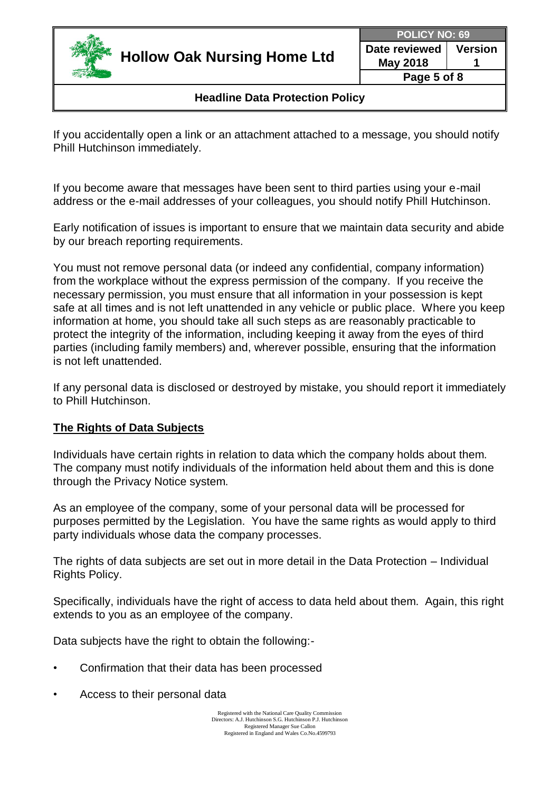

**Date reviewed May 2018 Version 1 Page 5 of 8**

**Headline Data Protection Policy**

If you accidentally open a link or an attachment attached to a message, you should notify Phill Hutchinson immediately.

If you become aware that messages have been sent to third parties using your e-mail address or the e-mail addresses of your colleagues, you should notify Phill Hutchinson.

Early notification of issues is important to ensure that we maintain data security and abide by our breach reporting requirements.

You must not remove personal data (or indeed any confidential, company information) from the workplace without the express permission of the company. If you receive the necessary permission, you must ensure that all information in your possession is kept safe at all times and is not left unattended in any vehicle or public place. Where you keep information at home, you should take all such steps as are reasonably practicable to protect the integrity of the information, including keeping it away from the eyes of third parties (including family members) and, wherever possible, ensuring that the information is not left unattended.

If any personal data is disclosed or destroyed by mistake, you should report it immediately to Phill Hutchinson.

## **The Rights of Data Subjects**

Individuals have certain rights in relation to data which the company holds about them. The company must notify individuals of the information held about them and this is done through the Privacy Notice system.

As an employee of the company, some of your personal data will be processed for purposes permitted by the Legislation. You have the same rights as would apply to third party individuals whose data the company processes.

The rights of data subjects are set out in more detail in the Data Protection – Individual Rights Policy.

Specifically, individuals have the right of access to data held about them. Again, this right extends to you as an employee of the company.

Data subjects have the right to obtain the following:-

- Confirmation that their data has been processed
- Access to their personal data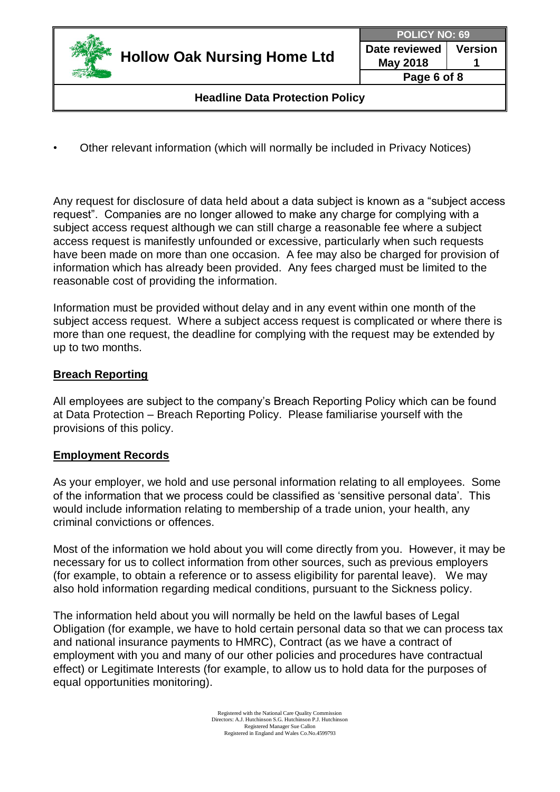

**POLICY NO: 69**

**Date reviewed May 2018 Version 1 Page 6 of 8**

**Headline Data Protection Policy**

• Other relevant information (which will normally be included in Privacy Notices)

Any request for disclosure of data held about a data subject is known as a "subject access request". Companies are no longer allowed to make any charge for complying with a subject access request although we can still charge a reasonable fee where a subject access request is manifestly unfounded or excessive, particularly when such requests have been made on more than one occasion. A fee may also be charged for provision of information which has already been provided. Any fees charged must be limited to the reasonable cost of providing the information.

Information must be provided without delay and in any event within one month of the subject access request. Where a subject access request is complicated or where there is more than one request, the deadline for complying with the request may be extended by up to two months.

## **Breach Reporting**

All employees are subject to the company's Breach Reporting Policy which can be found at Data Protection – Breach Reporting Policy. Please familiarise yourself with the provisions of this policy.

## **Employment Records**

As your employer, we hold and use personal information relating to all employees. Some of the information that we process could be classified as 'sensitive personal data'. This would include information relating to membership of a trade union, your health, any criminal convictions or offences.

Most of the information we hold about you will come directly from you. However, it may be necessary for us to collect information from other sources, such as previous employers (for example, to obtain a reference or to assess eligibility for parental leave). We may also hold information regarding medical conditions, pursuant to the Sickness policy.

The information held about you will normally be held on the lawful bases of Legal Obligation (for example, we have to hold certain personal data so that we can process tax and national insurance payments to HMRC), Contract (as we have a contract of employment with you and many of our other policies and procedures have contractual effect) or Legitimate Interests (for example, to allow us to hold data for the purposes of equal opportunities monitoring).

> Registered with the National Care Quality Commission Directors: A.J. Hutchinson S.G. Hutchinson P.J. Hutchinson Registered Manager Sue Callon Registered in England and Wales Co.No.4599793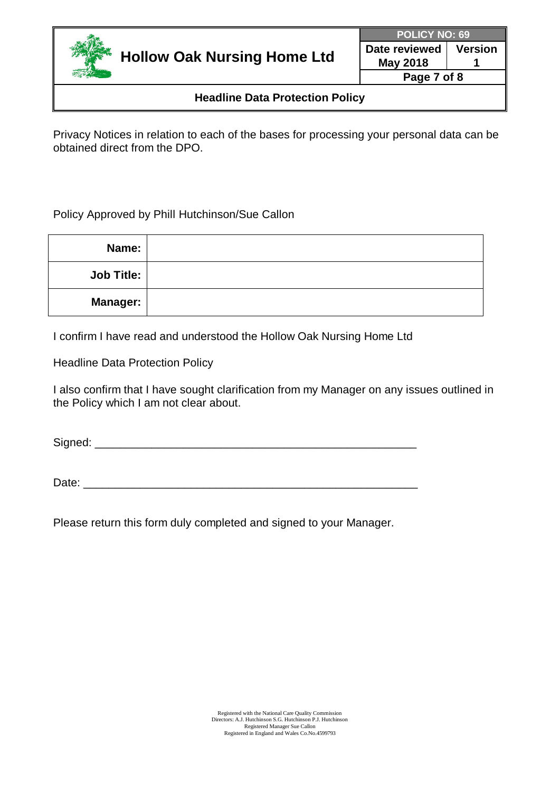

**Date reviewed May 2018 Version 1**

**Page 7 of 8**

## **Headline Data Protection Policy**

Privacy Notices in relation to each of the bases for processing your personal data can be obtained direct from the DPO.

Policy Approved by Phill Hutchinson/Sue Callon

| Name:             |  |
|-------------------|--|
| <b>Job Title:</b> |  |
| <b>Manager:</b>   |  |

I confirm I have read and understood the Hollow Oak Nursing Home Ltd

Headline Data Protection Policy

I also confirm that I have sought clarification from my Manager on any issues outlined in the Policy which I am not clear about.

Signed:  $\Box$ 

Date:  $\Box$ 

Please return this form duly completed and signed to your Manager.